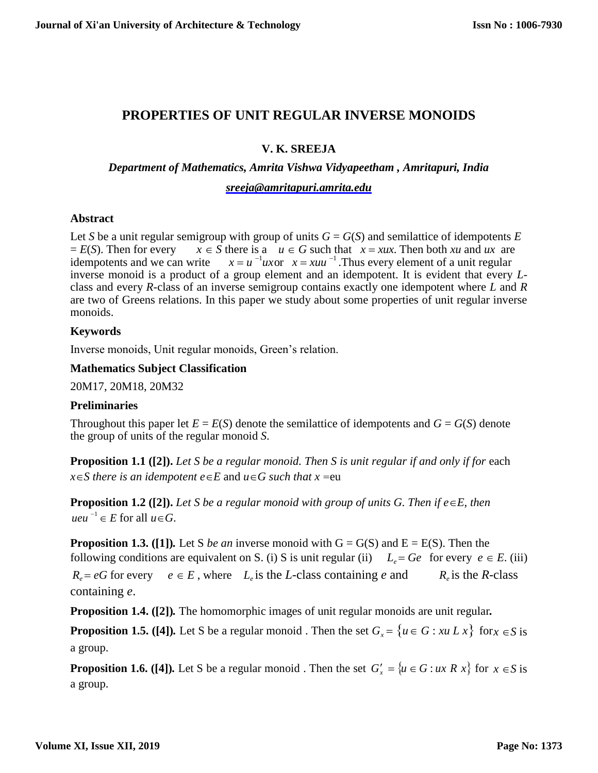# **PROPERTIES OF UNIT REGULAR INVERSE MONOIDS**

## **V. K. SREEJA**

### *Department of Mathematics, Amrita Vishwa Vidyapeetham , Amritapuri, India*

#### *[sreeja@amritapuri.amrita.edu](mailto:sreeja@amritapuri.amrita.edu)*

#### **Abstract**

Let *S* be a unit regular semigroup with group of units  $G = G(S)$  and semilattice of idempotents *E*  $E(S)$ . Then for every  $x \in S$  there is a  $u \in G$  such that  $x = xux$ . Then both *xu* and *ux* are idempotents and we can write  $u^{\text{-}1} u x$  or  $x = x u u^{-1}$ . Thus every element of a unit regular inverse monoid is a product of a group element and an idempotent. It is evident that every *L*class and every *R*-class of an inverse semigroup contains exactly one idempotent where *L* and *R*  are two of Greens relations. In this paper we study about some properties of unit regular inverse monoids.

### **Keywords**

Inverse monoids, Unit regular monoids, Green's relation.

### **Mathematics Subject Classification**

20M17, 20M18, 20M32

#### **Preliminaries**

Throughout this paper let  $E = E(S)$  denote the semilattice of idempotents and  $G = G(S)$  denote the group of units of the regular monoid *S*.

**Proposition 1.1 ([2]).** *Let S be a regular monoid. Then S is unit regular if and only if for* each  $x \in S$  *there is an idempotent*  $e \in E$  *and*  $u \in G$  *such that*  $x = eu$ 

**Proposition 1.2** ([2]). Let S be a regular monoid with group of units G. Then if  $e \in E$ , then *ueu*  $^{-1}$   $\in$  *E* for all *u* $\in$  *G*.

**Proposition 1.3. ([1]).** Let S *be an* inverse monoid with  $G = G(S)$  and  $E = E(S)$ . Then the following conditions are equivalent on S. (i) S is unit regular (ii)  $L_e = Ge$  for every  $e \in E$ . (iii)  $R_e = eG$  for every  $e \in E$ , where  $L_e$  is the *L*-class containing *e* and  $R_e$  is the *R*-class containing *e*.

**Proposition 1.4. ([2])***.* The homomorphic images of unit regular monoids are unit regular*.* 

**Proposition 1.5.** ([4]). Let S be a regular monoid . Then the set  $G_x = \{u \in G : xu \ L \ x\}$  for  $x \in S$  is a group.

**Proposition 1.6.** ([4]). Let S be a regular monoid . Then the set  $G'_x = \{u \in G : ux R x\}$  for  $x \in S$  is a group.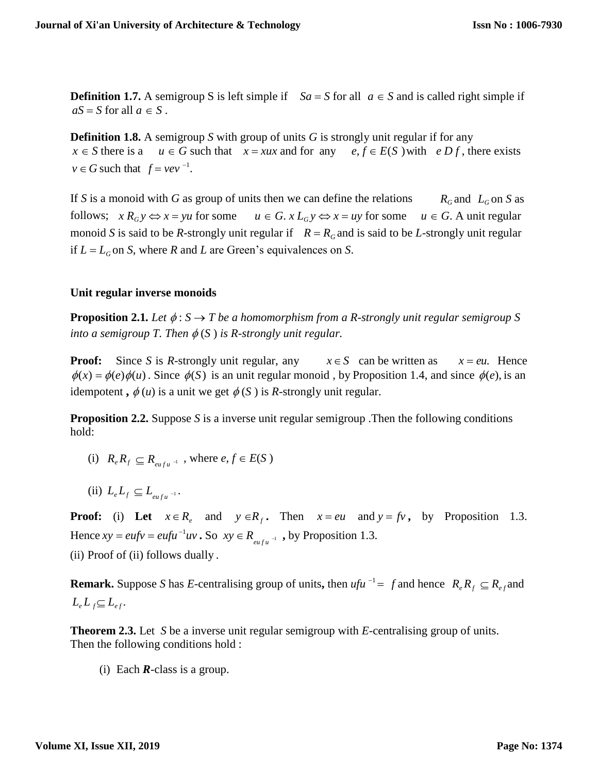**Definition 1.7.** A semigroup S is left simple if  $Sa = S$  for all  $a \in S$  and is called right simple if  $aS = S$  for all  $a \in S$ .

**Definition 1.8.** A semigroup *S* with group of units *G* is strongly unit regular if for any  $x \in S$  there is a  $u \in G$  such that  $x = xux$  and for any  $e, f \in E(S)$  with  $e D f$ , there exists  $v \in G$  such that  $f = v e v^{-1}$ .

If *S* is a monoid with *G* as group of units then we can define the relations  $R_G$  and  $L_G$  on *S* as follows;  $x R_G y \Leftrightarrow x = yu$  for some  $u \in G$ .  $x L_G y \Leftrightarrow x = uy$  for some  $u \in G$ . A unit regular monoid *S* is said to be *R*-strongly unit regular if  $R = R<sub>G</sub>$  and is said to be *L*-strongly unit regular if  $L = L_G$  on *S*, where *R* and *L* are Green's equivalences on *S*.

#### **Unit regular inverse monoids**

**Proposition 2.1.** Let  $\phi: S \to T$  be a homomorphism from a R-strongly unit regular semigroup S *into a semigroup T. Then*  $\phi(S)$  *is R-strongly unit regular.* 

**Proof:** Since *S* is *R*-strongly unit regular, any  $x \in S$  can be written as  $x = eu$ . Hence  $\phi(x) = \phi(e)\phi(u)$ . Since  $\phi(S)$  is an unit regular monoid, by Proposition 1.4, and since  $\phi(e)$ , is an idempotent,  $\phi(u)$  is a unit we get  $\phi(S)$  is *R*-strongly unit regular.

**Proposition 2.2.** Suppose *S* is a inverse unit regular semigroup . Then the following conditions hold:

- $R_e R_f \subseteq R_{eufu^{-1}}$ , where  $e, f \in E(S)$
- $(iii)$   $L_e L_f \subseteq L_{eufu}$ <sup>-1</sup>

Hence  $xy = eufv = eufu^{-1}uv$ . So  $xy \in R_{eufu^{-1}}$ , by Proposition 1.3. **Proof:** (i) Let  $x \in R_e$  and  $y \in R_f$ . Then  $x = eu$  and  $y = fv$ , by Proposition 1.3. (ii) Proof of (ii) follows dually .

**Remark.** Suppose *S* has *E*-centralising group of units, then  $ufu^{-1} = f$  and hence  $R_e R_f \subseteq R_{ef}$  and  $L_e L_f \subseteq L_{ef}$ .

**Theorem 2.3.** Let *S* be a inverse unit regular semigroup with *E*-centralising group of units. Then the following conditions hold :

(i) Each *R*-class is a group.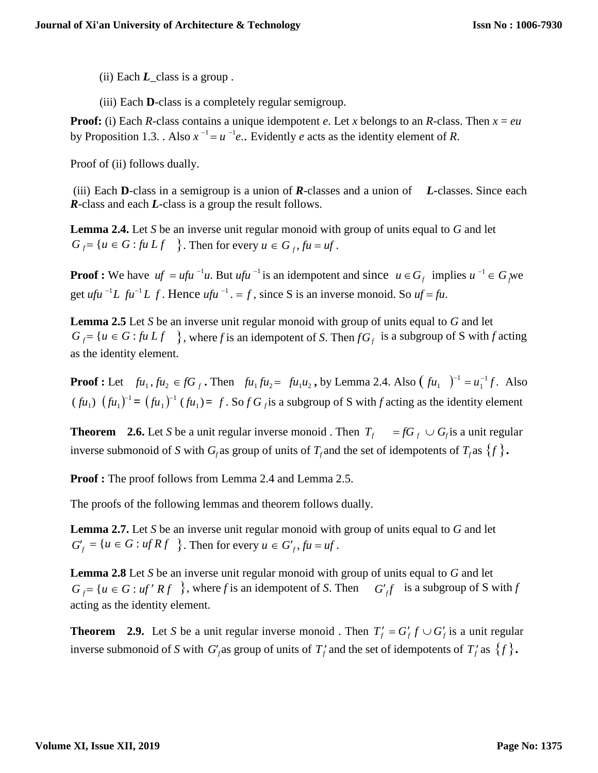- (ii) Each  $L$  class is a group.
- (iii) Each **D**-class is a completely regular semigroup.

**Proof:** (i) Each *R*-class contains a unique idempotent *e*. Let *x* belongs to an *R*-class. Then  $x = eu$ by Proposition 1.3. Also  $x^{-1} = u^{-1}e$ . Evidently *e* acts as the identity element of *R*.

Proof of (ii) follows dually.

(iii) Each **D**-class in a semigroup is a union of *R*-classes and a union of *L-*classes. Since each *R*-class and each *L*-class is a group the result follows.

**Lemma 2.4.** Let *S* be an inverse unit regular monoid with group of units equal to *G* and let  $G_f = \{u \in G : fu \ Lf \}$ . Then for every  $u \in G_f$ ,  $fu = uf$ .

**Proof :** We have  $uf = ufu^{-1}u$ . But  $ufu^{-1}$  is an idempotent and since  $u \in G_f$  implies  $u^{-1} \in G_f$  we get *ufu*<sup>-1</sup>L  $fu^{-1}L f$ . Hence  $ufu^{-1} = f$ , since S is an inverse monoid. So  $uf = fu$ .

**Lemma 2.5** Let *S* be an inverse unit regular monoid with group of units equal to *G* and let  $G_f = \{u \in G : \text{f}u Lf \}$ , where *f* is an idempotent of *S*. Then  $fG_f$  is a subgroup of *S* with *f* acting as the identity element.

**Proof :** Let  $f\mu_1, f\mu_2 \in fG_f$ . Then  $f\mu_1 f\mu_2 = f\mu_1 \mu_2$ , by Lemma 2.4. Also  $(f\mu_1)^{-1} = \mu_1^{-1} f$ . Also  $(fu_1)$   $(fu_1)^{-1} = (fu_1)^{-1} (fu_1) = f$ . So  $fG_f$  is a subgroup of S with f acting as the identity element

**Theorem** 2.6. Let *S* be a unit regular inverse monoid . Then  $T_f = fG_f \cup G_f$  is a unit regular inverse submonoid of *S* with  $G_f$  as group of units of  $T_f$  and the set of idempotents of  $T_f$  as  $\{f\}$ .

**Proof :** The proof follows from Lemma 2.4 and Lemma 2.5.

The proofs of the following lemmas and theorem follows dually.

**Lemma 2.7.** Let *S* be an inverse unit regular monoid with group of units equal to *G* and let  $G'_{f} = \{u \in G : ufRf \}$ . Then for every  $u \in G'_{f}$ ,  $fu = uf$ .

**Lemma 2.8** Let *S* be an inverse unit regular monoid with group of units equal to *G* and let  $G_f = \{u \in G : uf' R f\}$ , where *f* is an idempotent of *S*. Then  $G'_{f}$  is a subgroup of *S* with *f* acting as the identity element.

**Theorem** 2.9. Let *S* be a unit regular inverse monoid. Then  $T'_f = G'_f f \cup G'_f$  is a unit regular inverse submonoid of *S* with  $G_f'$  as group of units of  $T_f'$  and the set of idempotents of  $T_f'$  as  $\{f\}$ .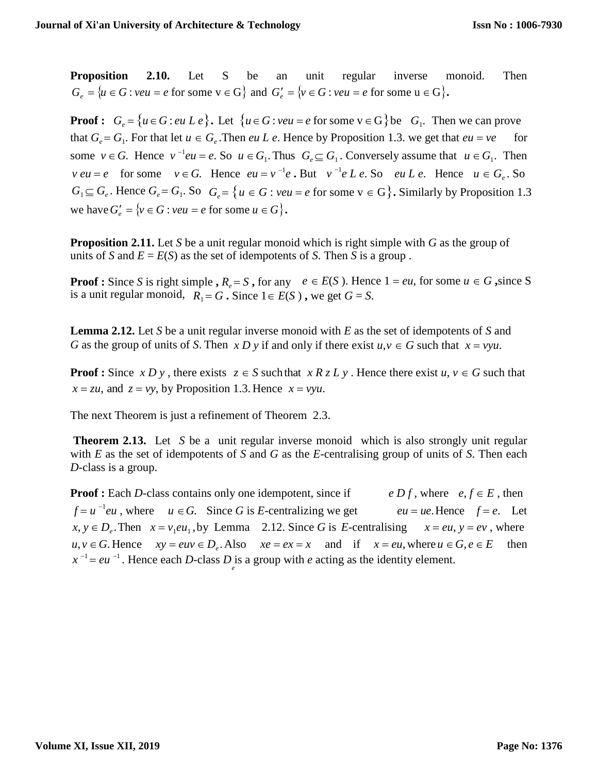**Proposition 2.10.** Let S be an unit regular inverse monoid. Then  $G_e = \{u \in G : veu = e \text{ for some } v \in G\}$  and  $G'_e = \{v \in G : veu = e \text{ for some } u \in G\}.$ 

**Proof :**  $G_e = \{u \in G : eu \, L \, e\}$ . Let  $\{u \in G : veu = e \text{ for some } v \in G\}$  be  $G_1$ . Then we can prove that  $G_e = G_1$ . For that let  $u \in G_e$ . Then *eu L e*. Hence by Proposition 1.3. we get that  $eu = ve$  for some  $v \in G$ . Hence  $v^{-1}eu = e$ . So  $u \in G_1$ . Thus  $G_e \subseteq G_1$ . Conversely assume that  $u \in G_1$ . Then *v eu* = *e* for some  $v \in G$ . Hence  $eu = v^{-1}e$ . But  $v^{-1}e L e$ . So  $eu L e$ . Hence  $u \in G_e$ . So  $G_1 \subseteq G_e$ . Hence  $G_e = G_1$ . So  $G_e = \{u \in G : veu = e \text{ for some } v \in G\}$ . Similarly by Proposition 1.3 we have  $G'_e = \{v \in G : veu = e \text{ for some } u \in G\}.$ 

**Proposition 2.11.** Let *S* be a unit regular monoid which is right simple with *G* as the group of units of *S* and  $E = E(S)$  as the set of idempotents of *S*. Then *S* is a group.

**Proof :** Since *S* is right simple **,**  $R_e = S$  **,** for any  $e \in E(S)$ . Hence  $1 = eu$ , for some  $u \in G$  **,**since S is a unit regular monoid,  $R_1 = G$ . Since  $1 \in E(S)$ , we get  $G = S$ .

**Lemma 2.12.** Let *S* be a unit regular inverse monoid with *E* as the set of idempotents of *S* and *G* as the group of units of *S*. Then *x D y* if and only if there exist  $u, v \in G$  such that  $x = vyu$ .

**Proof :** Since *x D y*, there exists  $z \in S$  such that  $x R z L y$ . Hence there exist  $u, v \in G$  such that  $x = zu$ , and  $z = vy$ , by Proposition 1.3. Hence  $x = vyu$ .

The next Theorem is just a refinement of Theorem 2.3.

**Theorem 2.13.** Let *S* be a unit regular inverse monoid which is also strongly unit regular with *E* as the set of idempotents of *S* and *G* as the *E*-centralising group of units of *S*. Then each *D*-class is a group.

**Proof :** Each *D*-class contains only one idempotent, since if  $e Df$ , where  $e, f \in E$ , then  $f = u^{-1}eu$ , where  $u \in G$ . Since *G* is *E*-centralizing we get  $eu = ue$ . Hence  $f = e$ . Let  $x, y \in D_e$ . Then  $x = v_1 e u_1$ , by Lemma 2.12. Since *G* is *E*-centralising  $x = e u$ ,  $y = e v$ , where  $u, v \in G$ . Hence  $xy = e u v \in D_e$ . Also  $xe = e x = x$  and if  $x = e u$ , where  $u \in G$ ,  $e \in E$  then  $x^{-1} = eu^{-1}$ . Hence each *D*-class *D* is a group with *e* acting as the identity element. *e*